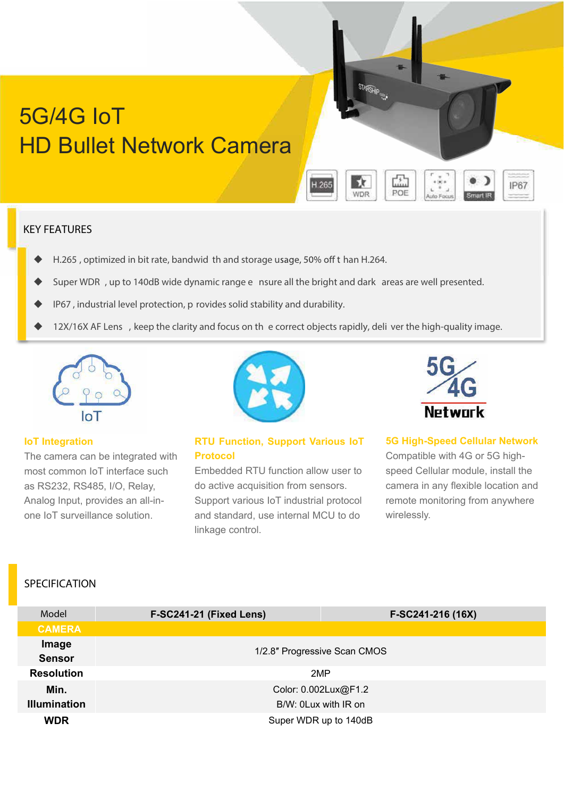# 5G/4G IoT HD Bullet Network Camera

#### **KEY FEATURES**

- H.265, optimized in bit rate, bandwid th and storage usage, 50% off than H.264.
- **Super WDR** , up to 140dB wide dynamic range e nsure all the bright and dark areas are well presented.
- **IP67** , industrial level protection, p rovides solid stability and durability.
- **12X/16X AF Lens** , keep the clarity and focus on th e correct objects rapidly, deli ver the high-quality image.



#### **IoT Integration**

The camera can be integrated with most common IoT interface such as RS232, RS485, I/O, Relay, Analog Input, provides an all-inone IoT surveillance solution.



### **RTU Function, Support Various IoT Protocol**

Embedded RTU function allow user to do active acquisition from sensors. Support various IoT industrial protocol and standard, use internal MCU to do linkage control.



**IP67** 

**STARFIE** 

馱

**WDR** 

H.265

霝

POE

#### **5G High-Speed Cellular Network**

Compatible with 4G or 5G highspeed Cellular module, install the camera in any flexible location and remote monitoring from anywhere wirelessly.

## **SPECIFICATION**

| Model                  | F-SC241-21 (Fixed Lens)      | F-SC241-216 (16X)     |  |  |
|------------------------|------------------------------|-----------------------|--|--|
| <b>CAMERA</b>          |                              |                       |  |  |
| Image<br><b>Sensor</b> | 1/2.8" Progressive Scan CMOS |                       |  |  |
| <b>Resolution</b>      |                              | 2MP                   |  |  |
| Min.                   |                              | Color: 0.002Lux@F1.2  |  |  |
| <b>Illumination</b>    |                              | B/W: 0Lux with IR on  |  |  |
| <b>WDR</b>             |                              | Super WDR up to 140dB |  |  |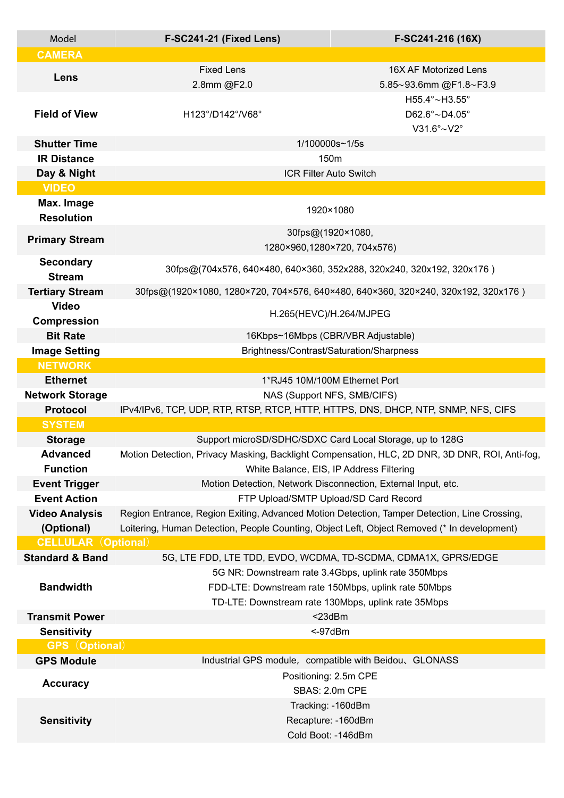| Model                                       | F-SC241-21 (Fixed Lens)                                                                        | F-SC241-216 (16X)                                              |  |  |  |
|---------------------------------------------|------------------------------------------------------------------------------------------------|----------------------------------------------------------------|--|--|--|
| <b>CAMERA</b>                               |                                                                                                |                                                                |  |  |  |
| Lens                                        | <b>Fixed Lens</b>                                                                              | 16X AF Motorized Lens                                          |  |  |  |
|                                             | 2.8mm @F2.0                                                                                    | 5.85~93.6mm @F1.8~F3.9                                         |  |  |  |
|                                             |                                                                                                | H55.4°~H3.55°                                                  |  |  |  |
| <b>Field of View</b>                        | H123°/D142°/V68°                                                                               | D62.6°~D4.05°                                                  |  |  |  |
|                                             |                                                                                                | $V31.6^\circ \sim V2^\circ$                                    |  |  |  |
| <b>Shutter Time</b>                         | 1/100000s~1/5s                                                                                 |                                                                |  |  |  |
| <b>IR Distance</b>                          | 150 <sub>m</sub>                                                                               |                                                                |  |  |  |
| Day & Night                                 |                                                                                                | <b>ICR Filter Auto Switch</b>                                  |  |  |  |
| <b>VIDEO</b>                                |                                                                                                |                                                                |  |  |  |
| Max. Image<br><b>Resolution</b>             | 1920×1080                                                                                      |                                                                |  |  |  |
| <b>Primary Stream</b>                       | 30fps@(1920×1080,<br>1280×960,1280×720, 704x576)                                               |                                                                |  |  |  |
| <b>Secondary</b>                            |                                                                                                |                                                                |  |  |  |
| <b>Stream</b>                               | 30fps@(704x576, 640×480, 640×360, 352x288, 320x240, 320x192, 320x176)                          |                                                                |  |  |  |
| <b>Tertiary Stream</b>                      | 30fps@(1920×1080, 1280×720, 704×576, 640×480, 640×360, 320×240, 320x192, 320x176)              |                                                                |  |  |  |
| <b>Video</b>                                | H.265(HEVC)/H.264/MJPEG                                                                        |                                                                |  |  |  |
| <b>Compression</b>                          |                                                                                                |                                                                |  |  |  |
| <b>Bit Rate</b>                             | 16Kbps~16Mbps (CBR/VBR Adjustable)                                                             |                                                                |  |  |  |
| <b>Image Setting</b>                        | Brightness/Contrast/Saturation/Sharpness                                                       |                                                                |  |  |  |
| <b>NETWORK</b>                              |                                                                                                |                                                                |  |  |  |
| <b>Ethernet</b>                             | 1*RJ45 10M/100M Ethernet Port                                                                  |                                                                |  |  |  |
| <b>Network Storage</b>                      | NAS (Support NFS, SMB/CIFS)                                                                    |                                                                |  |  |  |
| <b>Protocol</b>                             | IPv4/IPv6, TCP, UDP, RTP, RTSP, RTCP, HTTP, HTTPS, DNS, DHCP, NTP, SNMP, NFS, CIFS             |                                                                |  |  |  |
| <b>SYSTEM</b>                               |                                                                                                |                                                                |  |  |  |
| <b>Storage</b>                              |                                                                                                | Support microSD/SDHC/SDXC Card Local Storage, up to 128G       |  |  |  |
| <b>Advanced</b>                             | Motion Detection, Privacy Masking, Backlight Compensation, HLC, 2D DNR, 3D DNR, ROI, Anti-fog, |                                                                |  |  |  |
| <b>Function</b>                             | White Balance, EIS, IP Address Filtering                                                       |                                                                |  |  |  |
| <b>Event Trigger</b>                        | Motion Detection, Network Disconnection, External Input, etc.                                  |                                                                |  |  |  |
| <b>Event Action</b>                         | FTP Upload/SMTP Upload/SD Card Record                                                          |                                                                |  |  |  |
| <b>Video Analysis</b>                       | Region Entrance, Region Exiting, Advanced Motion Detection, Tamper Detection, Line Crossing,   |                                                                |  |  |  |
| (Optional)                                  | Loitering, Human Detection, People Counting, Object Left, Object Removed (* In development)    |                                                                |  |  |  |
| <b>CELLULAR (Optional)</b>                  |                                                                                                |                                                                |  |  |  |
| <b>Standard &amp; Band</b>                  |                                                                                                | 5G, LTE FDD, LTE TDD, EVDO, WCDMA, TD-SCDMA, CDMA1X, GPRS/EDGE |  |  |  |
|                                             | 5G NR: Downstream rate 3.4Gbps, uplink rate 350Mbps                                            |                                                                |  |  |  |
| <b>Bandwidth</b>                            | FDD-LTE: Downstream rate 150Mbps, uplink rate 50Mbps                                           |                                                                |  |  |  |
|                                             | TD-LTE: Downstream rate 130Mbps, uplink rate 35Mbps<br>$<$ 23dBm                               |                                                                |  |  |  |
| <b>Transmit Power</b>                       |                                                                                                |                                                                |  |  |  |
| <b>Sensitivity</b><br><b>GPS</b> (Optional) |                                                                                                | <-97dBm                                                        |  |  |  |
|                                             |                                                                                                |                                                                |  |  |  |
| <b>GPS Module</b>                           |                                                                                                | Industrial GPS module, compatible with Beidou, GLONASS         |  |  |  |
| <b>Accuracy</b>                             | Positioning: 2.5m CPE<br>SBAS: 2.0m CPE                                                        |                                                                |  |  |  |
|                                             |                                                                                                | Tracking: - 160dBm                                             |  |  |  |
| <b>Sensitivity</b>                          |                                                                                                |                                                                |  |  |  |
|                                             | Recapture: -160dBm<br>Cold Boot: -146dBm                                                       |                                                                |  |  |  |
|                                             |                                                                                                |                                                                |  |  |  |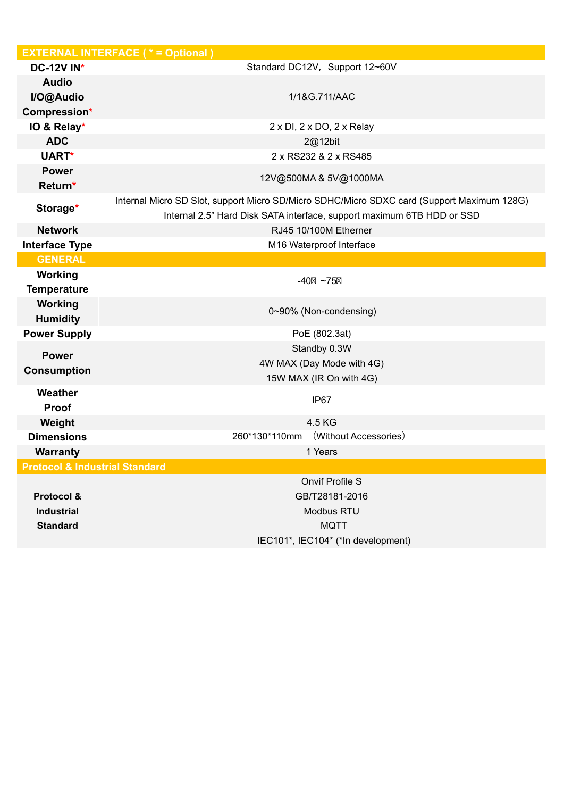|                                           | <b>EXTERNAL INTERFACE (* = Optional)</b>                                                                                                                             |  |  |
|-------------------------------------------|----------------------------------------------------------------------------------------------------------------------------------------------------------------------|--|--|
| <b>DC-12V IN*</b>                         | Standard DC12V, Support 12~60V                                                                                                                                       |  |  |
| <b>Audio</b>                              |                                                                                                                                                                      |  |  |
| I/O@Audio                                 | 1/1&G.711/AAC                                                                                                                                                        |  |  |
| Compression*                              |                                                                                                                                                                      |  |  |
| IO & Relay*                               | 2 x DI, 2 x DO, 2 x Relay                                                                                                                                            |  |  |
| <b>ADC</b>                                | 2@12bit                                                                                                                                                              |  |  |
| UART*                                     | 2 x RS232 & 2 x RS485                                                                                                                                                |  |  |
| <b>Power</b><br>Return*                   | 12V@500MA&5V@1000MA                                                                                                                                                  |  |  |
| Storage*                                  | Internal Micro SD Slot, support Micro SD/Micro SDHC/Micro SDXC card (Support Maximum 128G)<br>Internal 2.5" Hard Disk SATA interface, support maximum 6TB HDD or SSD |  |  |
| <b>Network</b>                            | RJ45 10/100M Etherner                                                                                                                                                |  |  |
| <b>Interface Type</b>                     | M16 Waterproof Interface                                                                                                                                             |  |  |
| <b>GENERAL</b>                            |                                                                                                                                                                      |  |  |
| Working                                   | $-40$ ~75                                                                                                                                                            |  |  |
| <b>Temperature</b>                        |                                                                                                                                                                      |  |  |
| <b>Working</b><br><b>Humidity</b>         | 0~90% (Non-condensing)                                                                                                                                               |  |  |
| <b>Power Supply</b>                       | PoE (802.3at)                                                                                                                                                        |  |  |
| <b>Power</b>                              | Standby 0.3W                                                                                                                                                         |  |  |
| <b>Consumption</b>                        | 4W MAX (Day Mode with 4G)                                                                                                                                            |  |  |
|                                           | 15W MAX (IR On with 4G)                                                                                                                                              |  |  |
| Weather<br><b>Proof</b>                   | IP67                                                                                                                                                                 |  |  |
| Weight                                    | 4.5 KG                                                                                                                                                               |  |  |
| <b>Dimensions</b>                         | (Without Accessories)<br>260*130*110mm                                                                                                                               |  |  |
| <b>Warranty</b>                           | 1 Years                                                                                                                                                              |  |  |
| <b>Protocol &amp; Industrial Standard</b> |                                                                                                                                                                      |  |  |
|                                           | <b>Onvif Profile S</b>                                                                                                                                               |  |  |
| Protocol &                                | GB/T28181-2016                                                                                                                                                       |  |  |
| <b>Industrial</b>                         | Modbus RTU                                                                                                                                                           |  |  |
| <b>Standard</b>                           | <b>MQTT</b>                                                                                                                                                          |  |  |
|                                           | IEC101*, IEC104* (*In development)                                                                                                                                   |  |  |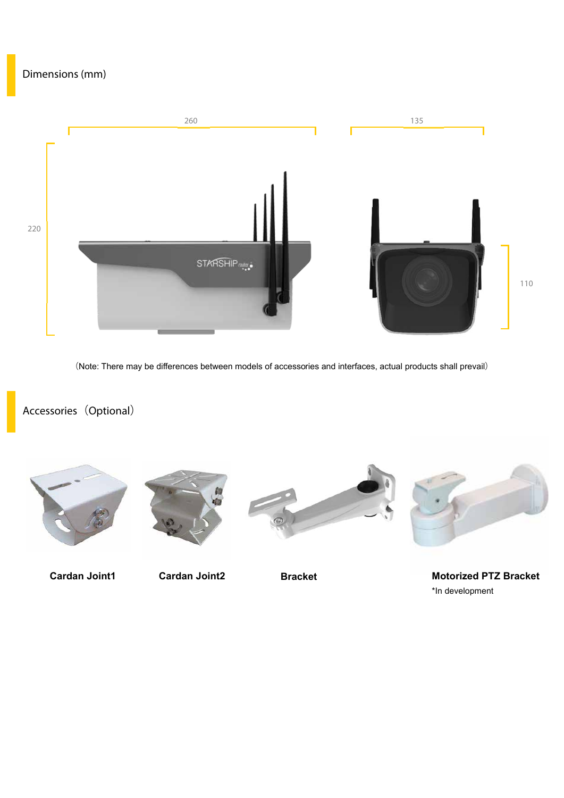## **Dimensions (mm)**



(Note: There may be differences between models of accessories and interfaces, actual products shall prevail)

# **Accessories**(**Optional**)









**Cardan Joint1 Cardan Joint2 Bracket Motorized PTZ Bracket** \*In development